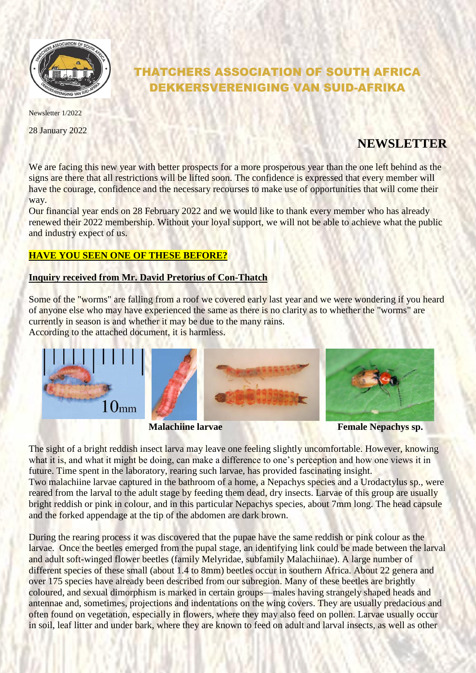

# THATCHERS ASSOCIATION OF SOUTH AFRICA DEKKERSVERENIGING VAN SUID-AFRIKA

Newsletter 1/2022

28 January 2022

## **NEWSLETTER**

We are facing this new year with better prospects for a more prosperous year than the one left behind as the signs are there that all restrictions will be lifted soon. The confidence is expressed that every member will have the courage, confidence and the necessary recourses to make use of opportunities that will come their way.

Our financial year ends on 28 February 2022 and we would like to thank every member who has already renewed their 2022 membership. Without your loyal support, we will not be able to achieve what the public and industry expect of us.

### **HAVE YOU SEEN ONE OF THESE BEFORE?**

#### **Inquiry received from Mr. David Pretorius of Con-Thatch**

Some of the "worms" are falling from a roof we covered early last year and we were wondering if you heard of anyone else who may have experienced the same as there is no clarity as to whether the "worms" are currently in season is and whether it may be due to the many rains. According to the attached document, it is harmless.



**Malachiine larvae Female Nepachys sp.** 

The sight of a bright reddish insect larva may leave one feeling slightly uncomfortable. However, knowing what it is, and what it might be doing, can make a difference to one's perception and how one views it in future. Time spent in the laboratory, rearing such larvae, has provided fascinating insight.

Two malachiine larvae captured in the bathroom of a home, a Nepachys species and a Urodactylus sp., were reared from the larval to the adult stage by feeding them dead, dry insects. Larvae of this group are usually bright reddish or pink in colour, and in this particular Nepachys species, about 7mm long. The head capsule and the forked appendage at the tip of the abdomen are dark brown.

During the rearing process it was discovered that the pupae have the same reddish or pink colour as the larvae. Once the beetles emerged from the pupal stage, an identifying link could be made between the larval and adult soft-winged flower beetles (family Melyridae, subfamily Malachiinae). A large number of different species of these small (about 1.4 to 8mm) beetles occur in southern Africa. About 22 genera and over 175 species have already been described from our subregion. Many of these beetles are brightly coloured, and sexual dimorphism is marked in certain groups—males having strangely shaped heads and antennae and, sometimes, projections and indentations on the wing covers. They are usually predacious and often found on vegetation, especially in flowers, where they may also feed on pollen. Larvae usually occur in soil, leaf litter and under bark, where they are known to feed on adult and larval insects, as well as other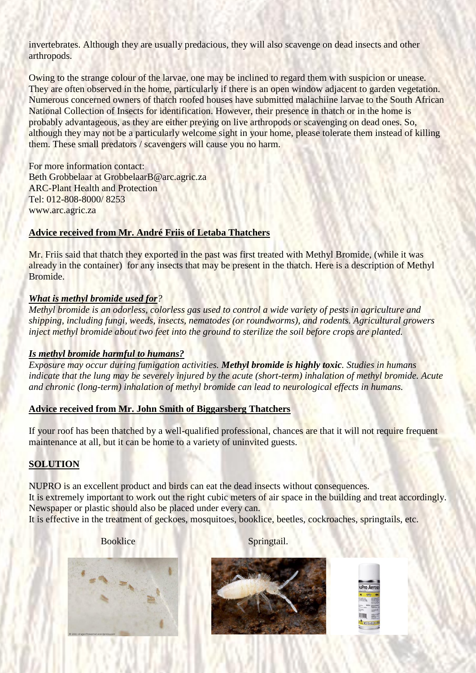invertebrates. Although they are usually predacious, they will also scavenge on dead insects and other arthropods.

Owing to the strange colour of the larvae, one may be inclined to regard them with suspicion or unease. They are often observed in the home, particularly if there is an open window adjacent to garden vegetation. Numerous concerned owners of thatch roofed houses have submitted malachiine larvae to the South African National Collection of Insects for identification. However, their presence in thatch or in the home is probably advantageous, as they are either preying on live arthropods or scavenging on dead ones. So, although they may not be a particularly welcome sight in your home, please tolerate them instead of killing them. These small predators / scavengers will cause you no harm.

For more information contact: Beth Grobbelaar at GrobbelaarB@arc.agric.za ARC-Plant Health and Protection Tel: 012-808-8000/ 8253 www.arc.agric.za

#### **Advice received from Mr. André Friis of Letaba Thatchers**

Mr. Friis said that thatch they exported in the past was first treated with Methyl Bromide, (while it was already in the container) for any insects that may be present in the thatch. Here is a description of Methyl Bromide.

#### *What is methyl bromide used for?*

*Methyl bromide is an odorless, colorless gas used to control a wide variety of pests in agriculture and shipping, including fungi, weeds, insects, nematodes (or roundworms), and rodents. Agricultural growers inject methyl bromide about two feet into the ground to sterilize the soil before crops are planted.*

#### *Is methyl bromide harmful to humans?*

*Exposure may occur during fumigation activities. Methyl bromide is highly toxic. Studies in humans indicate that the lung may be severely injured by the acute (short-term) inhalation of methyl bromide. Acute and chronic (long-term) inhalation of methyl bromide can lead to neurological effects in humans.*

#### **Advice received from Mr. John Smith of Biggarsberg Thatchers**

If your roof has been thatched by a well-qualified professional, chances are that it will not require frequent maintenance at all, but it can be home to a variety of uninvited guests.

#### **SOLUTION**

NUPRO is an excellent product and birds can eat the dead insects without consequences. It is extremely important to work out the right cubic meters of air space in the building and treat accordingly. Newspaper or plastic should also be placed under every can.

It is effective in the treatment of geckoes, mosquitoes, booklice, beetles, cockroaches, springtails, etc.

Booklice Springtail.